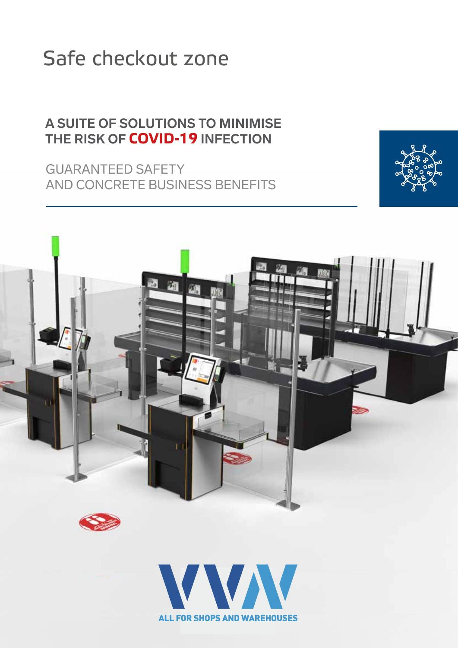### Safe checkout zone

### **A SUITE OF SOLUTIONS TO MINIMISE THE RISK OF COVID-19 INFECTION**

GUARANTEED SAFETY AND CONCRETE BUSINESS BENEFITS





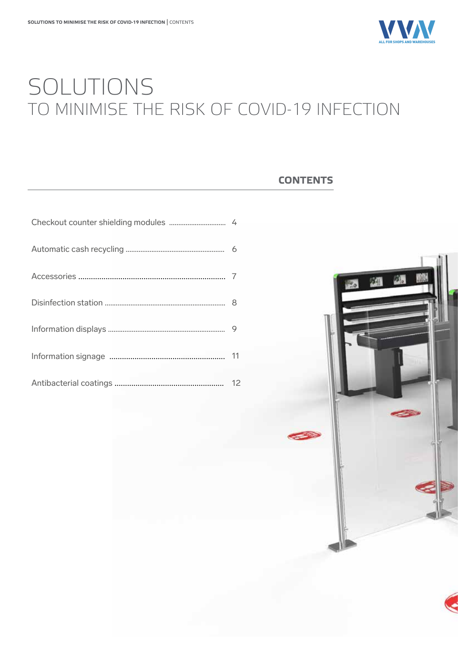

### SOLUTIONS TO MINIMISE THE RISK OF COVID-19 INFECTION

#### **CONTENTS**



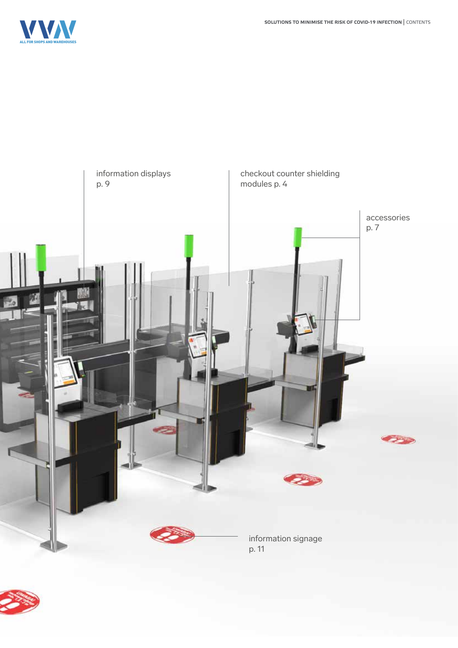



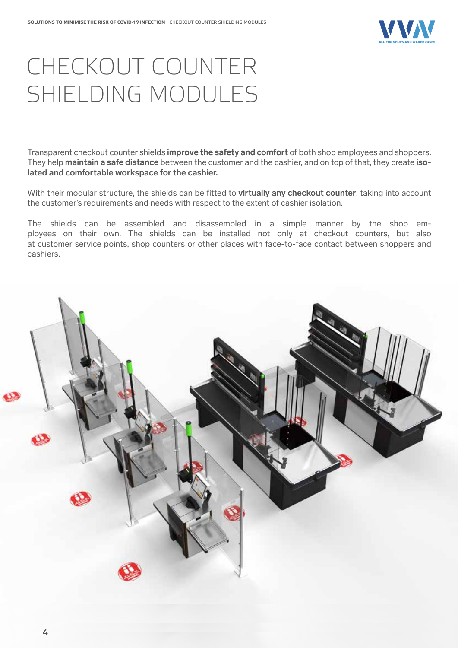

## CHECKOUT COUNTER SHIELDING MODULES

Transparent checkout counter shields **improve the safety and comfort** of both shop employees and shoppers. They help **maintain a safe distance** between the customer and the cashier, and on top of that, they create **isolated and comfortable workspace for the cashier.**

With their modular structure, the shields can be fitted to **virtually any checkout counter**, taking into account the customer's requirements and needs with respect to the extent of cashier isolation.

The shields can be assembled and disassembled in a simple manner by the shop employees on their own. The shields can be installed not only at checkout counters, but also at customer service points, shop counters or other places with face-to-face contact between shoppers and cashiers.

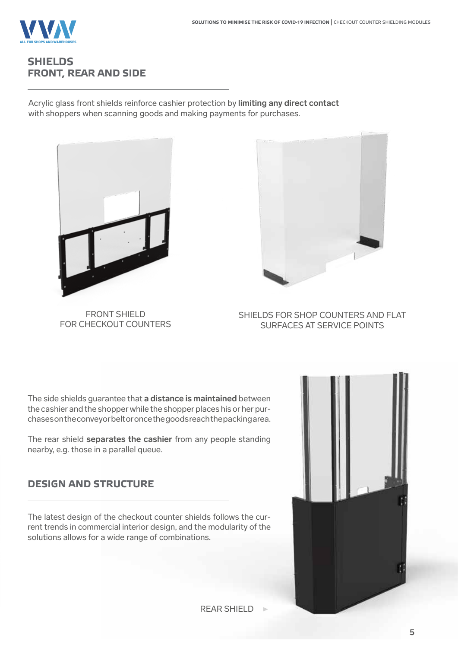

### **SHIELDS FRONT, REAR AND SIDE**

Acrylic glass front shields reinforce cashier protection by **limiting any direct contact** with shoppers when scanning goods and making payments for purchases.



FRONT SHIELD FOR CHECKOUT COUNTERS



SHIELDS FOR SHOP COUNTERS AND FLAT SURFACES AT SERVICE POINTS

The side shields guarantee that **a distance is maintained** between the cashier and the shopper while the shopper places his or her purchases on the conveyor belt or once the goods reach the packing area.

The rear shield **separates the cashier** from any people standing nearby, e.g. those in a parallel queue.

### **DESIGN AND STRUCTURE**

The latest design of the checkout counter shields follows the current trends in commercial interior design, and the modularity of the solutions allows for a wide range of combinations.



REAR SHIELD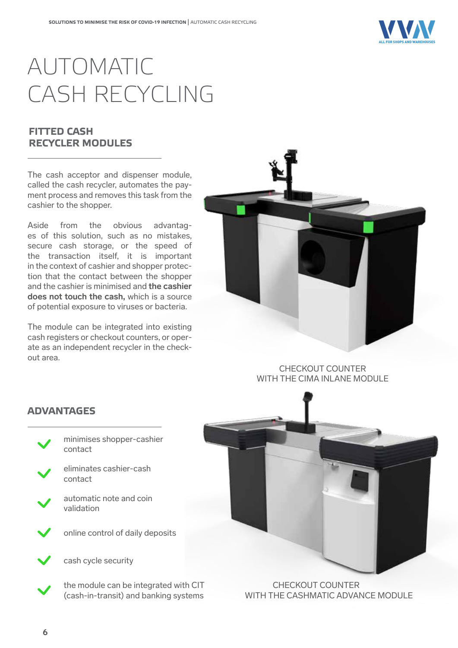

# AUTOMATIC CASH RECYCLING

### **FITTED CASH RECYCLER MODULES**

The cash acceptor and dispenser module, called the cash recycler, automates the payment process and removes this task from the cashier to the shopper.

Aside from the obvious advantages of this solution, such as no mistakes, secure cash storage, or the speed of the transaction itself, it is important in the context of cashier and shopper protection that the contact between the shopper and the cashier is minimised and **the cashier does not touch the cash,** which is a source of potential exposure to viruses or bacteria.

The module can be integrated into existing cash registers or checkout counters, or operate as an independent recycler in the checkout area.



CHECKOUT COUNTER WITH THE CIMA INLANE MODULE



 CHECKOUT COUNTER WITH THE CASHMATIC ADVANCE MODULE

#### **ADVANTAGES**



eliminates cashier-cash contact

automatic note and coin validation





cash cycle security

the module can be integrated with CIT (cash-in-transit) and banking systems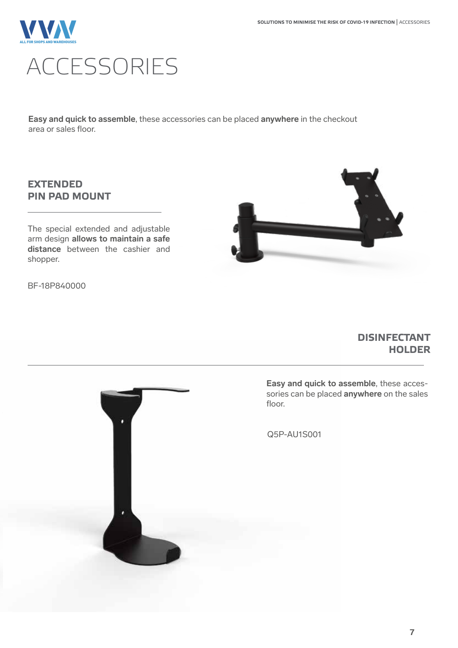

**Easy and quick to assemble**, these accessories can be placed **anywhere** in the checkout area or sales floor.

### **EXTENDED PIN PAD MOUNT**

The special extended and adjustable arm design **allows to maintain a safe distance** between the cashier and shopper.





#### **DISINFECTANT HOLDER**



**Easy and quick to assemble**, these accessories can be placed **anywhere** on the sales

Q5P-AU1S001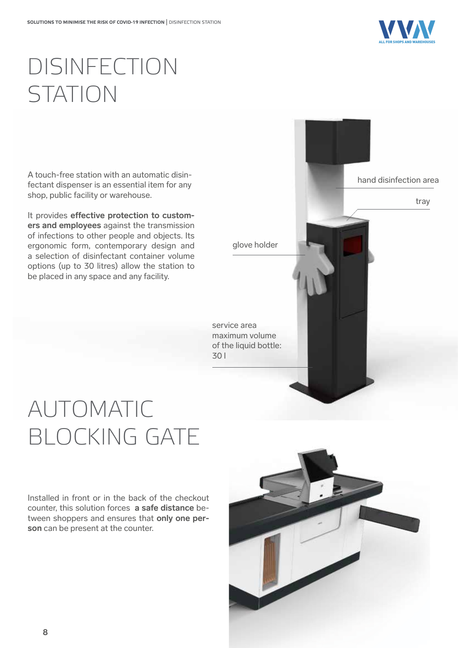

## DISINFECTION STATION

A touch-free station with an automatic disinfectant dispenser is an essential item for any shop, public facility or warehouse.

It provides effective protection to custom**ers and employees** against the transmission of infections to other people and objects. Its ergonomic form, contemporary design and a selection of disinfectant container volume options (up to 30 litres) allow the station to be placed in any space and any facility.



# AUTOMATIC BLOCKING GATE

Installed in front or in the back of the checkout counter, this solution forces **a safe distance** between shoppers and ensures that **only one person** can be present at the counter.

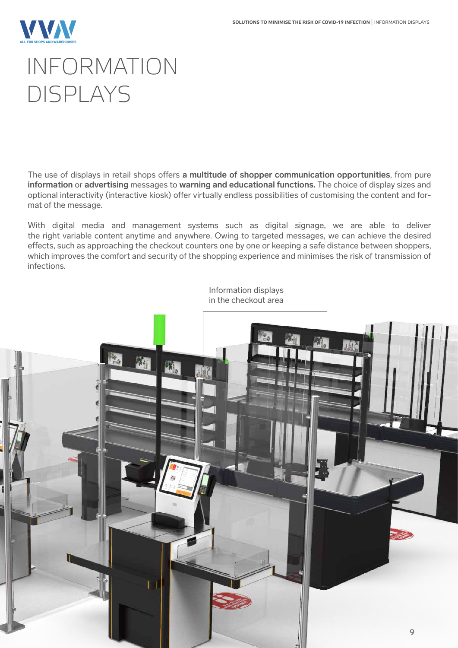

## INFORMATION DISPLAYS

The use of displays in retail shops offers **a multitude of shopper communication opportunities**, from pure **information** or **advertising** messages to **warning and educational functions.** The choice of display sizes and optional interactivity (interactive kiosk) offer virtually endless possibilities of customising the content and format of the message.

With digital media and management systems such as digital signage, we are able to deliver the right variable content anytime and anywhere. Owing to targeted messages, we can achieve the desired effects, such as approaching the checkout counters one by one or keeping a safe distance between shoppers, which improves the comfort and security of the shopping experience and minimises the risk of transmission of infections.

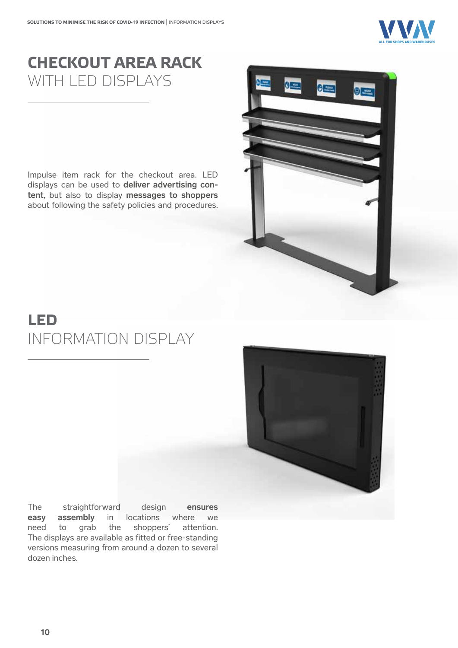

### **CHECKOUT AREA RACK**  WITH LED DISPLAYS

Impulse item rack for the checkout area. LED displays can be used to **deliver advertising content**, but also to display **messages to shoppers** about following the safety policies and procedures.



### **LED**  INFORMATION DISPLAY



The straightforward design **ensures easy assembly** in locations where we need to grab the shoppers' attention. The displays are available as fitted or free-standing versions measuring from around a dozen to several dozen inches.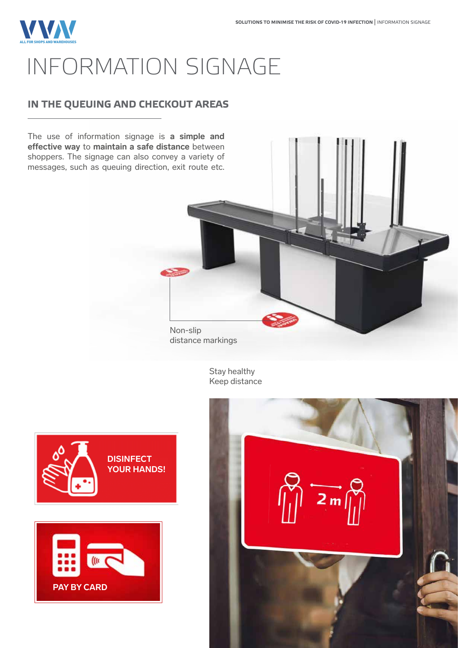### **VVV** ALL FOR SHOPS AND WAREHOUSES INFORMATION SIGNAGE

### **IN THE QUEUING AND CHECKOUT AREAS**

The use of information signage is **a simple and effective way to maintain a safe distance** between shoppers. The signage can also convey a variety of messages, such as queuing direction, exit route etc.

> Non-slip distance markings

> > Stay healthy Keep distance





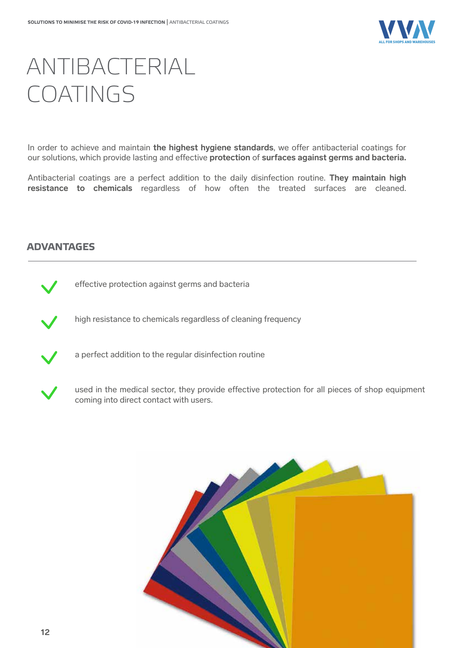

## ANTIBACTERIAL COATINGS

In order to achieve and maintain the highest hygiene standards, we offer antibacterial coatings for our solutions, which provide lasting and effective **protection** of **surfaces against germs and bacteria.** 

Antibacterial coatings are a perfect addition to the daily disinfection routine. **They maintain high resistance to chemicals** regardless of how often the treated surfaces are cleaned.

#### **ADVANTAGES**



effective protection against germs and bacteria



high resistance to chemicals regardless of cleaning frequency



a perfect addition to the regular disinfection routine



used in the medical sector, they provide effective protection for all pieces of shop equipment coming into direct contact with users.